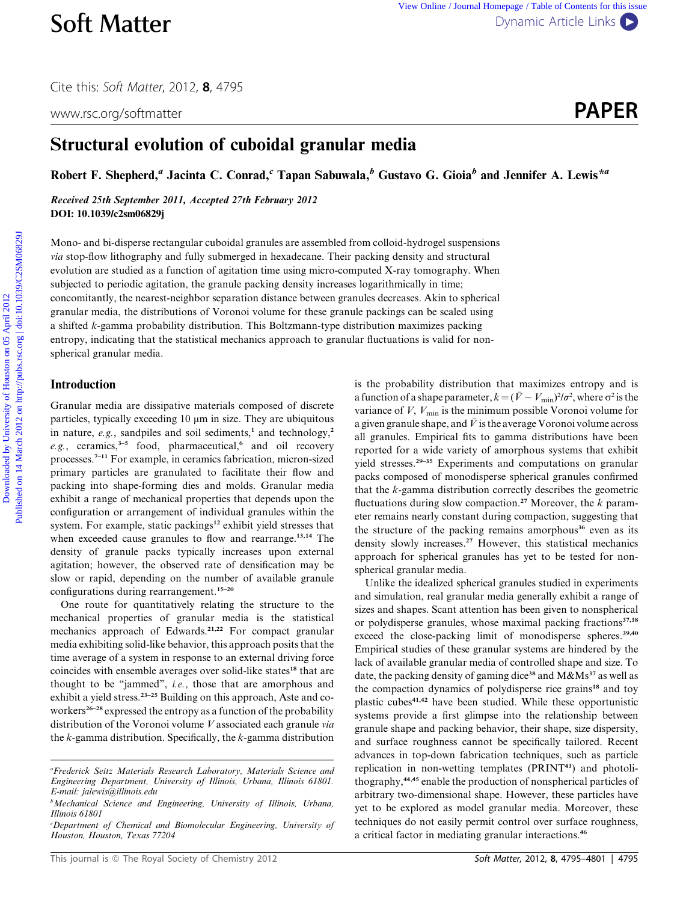Cite this: Soft Matter, 2012, <sup>8</sup>, 4795

www.rsc.org/softmatter **PAPER** 

# Structural evolution of cuboidal granular media

Robert F. Shepherd,<sup>a</sup> Jacinta C. Conrad,<sup>c</sup> Tapan Sabuwala,<sup>b</sup> Gustavo G. Gioia<sup>b</sup> and Jennifer A. Lewis<sup>\*a</sup>

Received 25th September 2011, Accepted 27th February 2012 DOI: 10.1039/c2sm06829j

Mono- and bi-disperse rectangular cuboidal granules are assembled from colloid-hydrogel suspensions via stop-flow lithography and fully submerged in hexadecane. Their packing density and structural evolution are studied as a function of agitation time using micro-computed X-ray tomography. When subjected to periodic agitation, the granule packing density increases logarithmically in time; concomitantly, the nearest-neighbor separation distance between granules decreases. Akin to spherical granular media, the distributions of Voronoi volume for these granule packings can be scaled using a shifted k-gamma probability distribution. This Boltzmann-type distribution maximizes packing entropy, indicating that the statistical mechanics approach to granular fluctuations is valid for nonspherical granular media. **Soft Matter** versions character in properties contents for the system of the contents of the content of the content of the content of the content of the content of the content of the content of the content of  $\mathbb{R}^2$ .

## Introduction

Granular media are dissipative materials composed of discrete particles, typically exceeding  $10 \mu m$  in size. They are ubiquitous in nature,  $e.g.,$  sandpiles and soil sediments,<sup>1</sup> and technology,<sup>2</sup>  $e.g.,$  ceramics,<sup>3-5</sup> food, pharmaceutical,<sup>6</sup> and oil recovery processes.7–11 For example, in ceramics fabrication, micron-sized primary particles are granulated to facilitate their flow and packing into shape-forming dies and molds. Granular media exhibit a range of mechanical properties that depends upon the configuration or arrangement of individual granules within the system. For example, static packings<sup>12</sup> exhibit yield stresses that when exceeded cause granules to flow and rearrange.<sup>13,14</sup> The density of granule packs typically increases upon external agitation; however, the observed rate of densification may be slow or rapid, depending on the number of available granule configurations during rearrangement.<sup>15-20</sup>

One route for quantitatively relating the structure to the mechanical properties of granular media is the statistical mechanics approach of Edwards.<sup>21,22</sup> For compact granular media exhibiting solid-like behavior, this approach posits that the time average of a system in response to an external driving force coincides with ensemble averages over solid-like states<sup>18</sup> that are thought to be "jammed", i.e., those that are amorphous and exhibit a yield stress.<sup>23-25</sup> Building on this approach, Aste and coworkers<sup>26–28</sup> expressed the entropy as a function of the probability distribution of the Voronoi volume V associated each granule via the  $k$ -gamma distribution. Specifically, the  $k$ -gamma distribution is the probability distribution that maximizes entropy and is a function of a shape parameter,  $k = (\bar{V} - V_{\text{min}})^2/\sigma^2$ , where  $\sigma^2$  is the variance of  $V$ ,  $V_{\text{min}}$  is the minimum possible Voronoi volume for a given granule shape, and  $\bar{V}$  is the average Voronoi volume across all granules. Empirical fits to gamma distributions have been reported for a wide variety of amorphous systems that exhibit yield stresses.29–35 Experiments and computations on granular packs composed of monodisperse spherical granules confirmed that the k-gamma distribution correctly describes the geometric fluctuations during slow compaction.<sup>27</sup> Moreover, the  $k$  parameter remains nearly constant during compaction, suggesting that the structure of the packing remains amorphous<sup>36</sup> even as its density slowly increases.<sup>27</sup> However, this statistical mechanics approach for spherical granules has yet to be tested for nonspherical granular media.

Unlike the idealized spherical granules studied in experiments and simulation, real granular media generally exhibit a range of sizes and shapes. Scant attention has been given to nonspherical or polydisperse granules, whose maximal packing fractions<sup>37,38</sup> exceed the close-packing limit of monodisperse spheres.<sup>39,40</sup> Empirical studies of these granular systems are hindered by the lack of available granular media of controlled shape and size. To date, the packing density of gaming dice<sup>38</sup> and  $M\&Ms^{37}$  as well as the compaction dynamics of polydisperse rice grains<sup>18</sup> and toy plastic cubes41,42 have been studied. While these opportunistic systems provide a first glimpse into the relationship between granule shape and packing behavior, their shape, size dispersity, and surface roughness cannot be specifically tailored. Recent advances in top-down fabrication techniques, such as particle replication in non-wetting templates (PRINT<sup>43</sup>) and photolithography,44,45 enable the production of nonspherical particles of arbitrary two-dimensional shape. However, these particles have yet to be explored as model granular media. Moreover, these techniques do not easily permit control over surface roughness, a critical factor in mediating granular interactions.<sup>46</sup>

a Frederick Seitz Materials Research Laboratory, Materials Science and Engineering Department, University of Illinois, Urbana, Illinois 61801. E-mail: jalewis@illinois.edu

<sup>&</sup>lt;sup>b</sup>Mechanical Science and Engineering, University of Illinois, Urbana, Illinois 61801

c Department of Chemical and Biomolecular Engineering, University of Houston, Houston, Texas 77204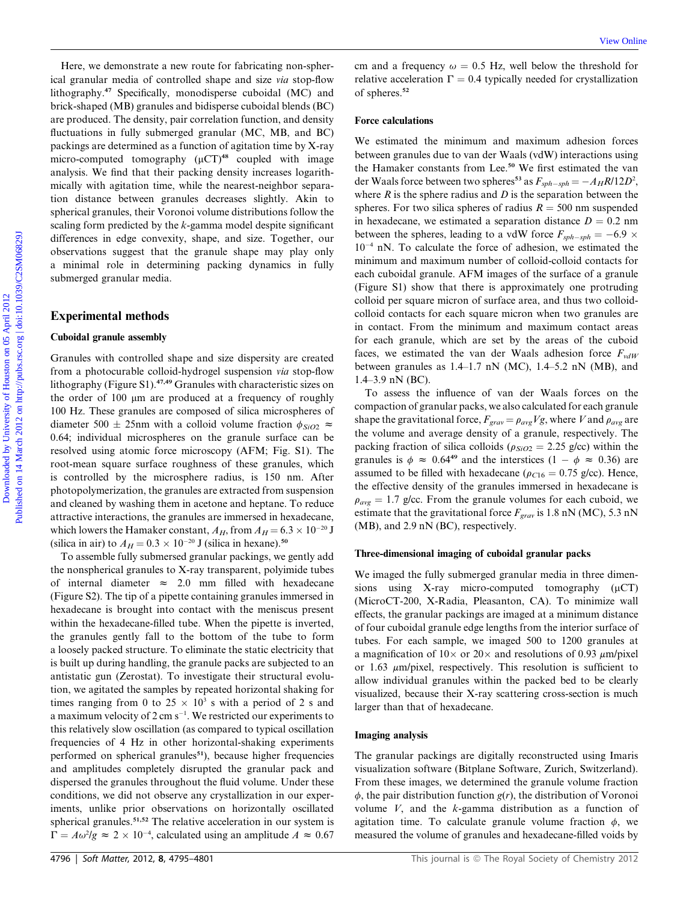Here, we demonstrate a new route for fabricating non-spherical granular media of controlled shape and size via stop-flow lithography.<sup>47</sup> Specifically, monodisperse cuboidal (MC) and brick-shaped (MB) granules and bidisperse cuboidal blends (BC) are produced. The density, pair correlation function, and density fluctuations in fully submerged granular (MC, MB, and BC) packings are determined as a function of agitation time by X-ray micro-computed tomography  $(uCT)^{48}$  coupled with image analysis. We find that their packing density increases logarithmically with agitation time, while the nearest-neighbor separation distance between granules decreases slightly. Akin to spherical granules, their Voronoi volume distributions follow the scaling form predicted by the k-gamma model despite significant differences in edge convexity, shape, and size. Together, our observations suggest that the granule shape may play only a minimal role in determining packing dynamics in fully submerged granular media.

## Experimental methods

## Cuboidal granule assembly

Granules with controlled shape and size dispersity are created from a photocurable colloid-hydrogel suspension via stop-flow lithography (Figure S1).<sup>47,49</sup> Granules with characteristic sizes on the order of 100 µm are produced at a frequency of roughly 100 Hz. These granules are composed of silica microspheres of diameter 500  $\pm$  25nm with a colloid volume fraction  $\phi_{SiO2} \approx$ 0.64; individual microspheres on the granule surface can be resolved using atomic force microscopy (AFM; Fig. S1). The root-mean square surface roughness of these granules, which is controlled by the microsphere radius, is 150 nm. After photopolymerization, the granules are extracted from suspension and cleaned by washing them in acetone and heptane. To reduce attractive interactions, the granules are immersed in hexadecane, which lowers the Hamaker constant,  $A_H$ , from  $A_H = 6.3 \times 10^{-20}$  J (silica in air) to  $A_H = 0.3 \times 10^{-20}$  J (silica in hexane).<sup>50</sup>

To assemble fully submersed granular packings, we gently add the nonspherical granules to X-ray transparent, polyimide tubes of internal diameter  $\approx$  2.0 mm filled with hexadecane (Figure S2). The tip of a pipette containing granules immersed in hexadecane is brought into contact with the meniscus present within the hexadecane-filled tube. When the pipette is inverted, the granules gently fall to the bottom of the tube to form a loosely packed structure. To eliminate the static electricity that is built up during handling, the granule packs are subjected to an antistatic gun (Zerostat). To investigate their structural evolution, we agitated the samples by repeated horizontal shaking for times ranging from 0 to  $25 \times 10^3$  s with a period of 2 s and a maximum velocity of  $2 \text{ cm s}^{-1}$ . We restricted our experiments to this relatively slow oscillation (as compared to typical oscillation frequencies of 4 Hz in other horizontal-shaking experiments performed on spherical granules<sup>51</sup>), because higher frequencies and amplitudes completely disrupted the granular pack and dispersed the granules throughout the fluid volume. Under these conditions, we did not observe any crystallization in our experiments, unlike prior observations on horizontally oscillated spherical granules.<sup>51,52</sup> The relative acceleration in our system is  $\Gamma = A\omega^2/g \approx 2 \times 10^{-4}$ , calculated using an amplitude  $A \approx 0.67$ 

cm and a frequency  $\omega = 0.5$  Hz, well below the threshold for relative acceleration  $\Gamma = 0.4$  typically needed for crystallization of spheres.<sup>52</sup>

## Force calculations

We estimated the minimum and maximum adhesion forces between granules due to van der Waals (vdW) interactions using the Hamaker constants from Lee.<sup>50</sup> We first estimated the van der Waals force between two spheres<sup>53</sup> as  $F_{sph-sph} = -A_H R/12D^2$ , where  $R$  is the sphere radius and  $D$  is the separation between the spheres. For two silica spheres of radius  $R = 500$  nm suspended in hexadecane, we estimated a separation distance  $D = 0.2$  nm between the spheres, leading to a vdW force  $F_{sph-sph} = -6.9 \times$ 10-<sup>4</sup> nN. To calculate the force of adhesion, we estimated the minimum and maximum number of colloid-colloid contacts for each cuboidal granule. AFM images of the surface of a granule (Figure S1) show that there is approximately one protruding colloid per square micron of surface area, and thus two colloidcolloid contacts for each square micron when two granules are in contact. From the minimum and maximum contact areas for each granule, which are set by the areas of the cuboid faces, we estimated the van der Waals adhesion force  $F_{vdW}$ between granules as  $1.4-1.7$  nN (MC),  $1.4-5.2$  nN (MB), and 1.4–3.9 nN (BC). Here, we demunistria a new route for fabricating anomphar-<br>
in all grands alary and also as a specified on the specified on the specified on the specified on the specified on the specified on the specified on the specifie

To assess the influence of van der Waals forces on the compaction of granular packs, we also calculated for each granule shape the gravitational force,  $F_{grav} = \rho_{avg}Vg$ , where V and  $\rho_{avg}$  are the volume and average density of a granule, respectively. The packing fraction of silica colloids ( $\rho_{SiO2} = 2.25$  g/cc) within the granules is  $\phi \approx 0.64^{49}$  and the interstices  $(1 - \phi \approx 0.36)$  are assumed to be filled with hexadecane ( $\rho_{C16} = 0.75$  g/cc). Hence, the effective density of the granules immersed in hexadecane is  $\rho_{avg} = 1.7$  g/cc. From the granule volumes for each cuboid, we estimate that the gravitational force  $F_{grav}$  is 1.8 nN (MC), 5.3 nN (MB), and 2.9 nN (BC), respectively.

## Three-dimensional imaging of cuboidal granular packs

We imaged the fully submerged granular media in three dimensions using X-ray micro-computed tomography  $(\mu$ CT) (MicroCT-200, X-Radia, Pleasanton, CA). To minimize wall effects, the granular packings are imaged at a minimum distance of four cuboidal granule edge lengths from the interior surface of tubes. For each sample, we imaged 500 to 1200 granules at a magnification of  $10 \times$  or  $20 \times$  and resolutions of 0.93  $\mu$ m/pixel or 1.63  $\mu$ m/pixel, respectively. This resolution is sufficient to allow individual granules within the packed bed to be clearly visualized, because their X-ray scattering cross-section is much larger than that of hexadecane.

#### Imaging analysis

The granular packings are digitally reconstructed using Imaris visualization software (Bitplane Software, Zurich, Switzerland). From these images, we determined the granule volume fraction  $\phi$ , the pair distribution function  $g(r)$ , the distribution of Voronoi volume V, and the k-gamma distribution as a function of agitation time. To calculate granule volume fraction  $\phi$ , we measured the volume of granules and hexadecane-filled voids by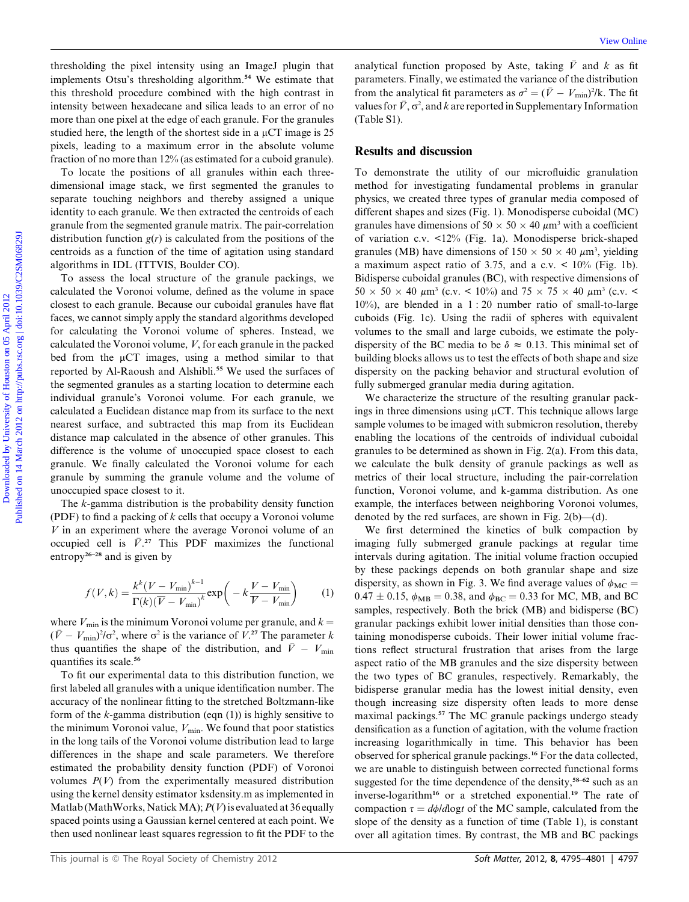thresholding the pixel intensity using an ImageJ plugin that implements Otsu's thresholding algorithm.<sup>54</sup> We estimate that this threshold procedure combined with the high contrast in intensity between hexadecane and silica leads to an error of no more than one pixel at the edge of each granule. For the granules studied here, the length of the shortest side in a  $\mu$ CT image is 25 pixels, leading to a maximum error in the absolute volume fraction of no more than 12% (as estimated for a cuboid granule).

To locate the positions of all granules within each threedimensional image stack, we first segmented the granules to separate touching neighbors and thereby assigned a unique identity to each granule. We then extracted the centroids of each granule from the segmented granule matrix. The pair-correlation distribution function  $g(r)$  is calculated from the positions of the centroids as a function of the time of agitation using standard algorithms in IDL (ITTVIS, Boulder CO).

To assess the local structure of the granule packings, we calculated the Voronoi volume, defined as the volume in space closest to each granule. Because our cuboidal granules have flat faces, we cannot simply apply the standard algorithms developed for calculating the Voronoi volume of spheres. Instead, we calculated the Voronoi volume,  $V$ , for each granule in the packed bed from the  $\mu$ CT images, using a method similar to that reported by Al-Raoush and Alshibli.<sup>55</sup> We used the surfaces of the segmented granules as a starting location to determine each individual granule's Voronoi volume. For each granule, we calculated a Euclidean distance map from its surface to the next nearest surface, and subtracted this map from its Euclidean distance map calculated in the absence of other granules. This difference is the volume of unoccupied space closest to each granule. We finally calculated the Voronoi volume for each granule by summing the granule volume and the volume of unoccupied space closest to it. domination the rised intensity using on Tragge phase in the scaling function proposal by Asta, taking  $\mu$  and its minimizer on the scaling equilibration of the considerable algorithm <sup>2</sup> We consider the base of  $V$ ,  $c^2$ 

The k-gamma distribution is the probability density function (PDF) to find a packing of  $k$  cells that occupy a Voronoi volume  $V$  in an experiment where the average Voronoi volume of an occupied cell is  $\bar{V}$ <sup>27</sup>. This PDF maximizes the functional entropy<sup>26-28</sup> and is given by

$$
f(V,k) = \frac{k^k (V - V_{\min})^{k-1}}{\Gamma(k)(\overline{V} - V_{\min})^k} \exp\left(-k \frac{V - V_{\min}}{\overline{V} - V_{\min}}\right) \tag{1}
$$

where  $V_{\text{min}}$  is the minimum Voronoi volume per granule, and  $k =$  $(\bar{V} - V_{\text{min}})^2/\sigma^2$ , where  $\sigma^2$  is the variance of  $V^{27}$ . The parameter k thus quantifies the shape of the distribution, and  $\bar{V} - V_{\text{min}}$ quantifies its scale.<sup>56</sup>

To fit our experimental data to this distribution function, we first labeled all granules with a unique identification number. The accuracy of the nonlinear fitting to the stretched Boltzmann-like form of the  $k$ -gamma distribution (eqn  $(1)$ ) is highly sensitive to the minimum Voronoi value,  $V_{\text{min}}$ . We found that poor statistics in the long tails of the Voronoi volume distribution lead to large differences in the shape and scale parameters. We therefore estimated the probability density function (PDF) of Voronoi volumes  $P(V)$  from the experimentally measured distribution using the kernel density estimator ksdensity.m as implemented in Matlab (MathWorks, Natick MA);  $P(V)$  is evaluated at 36 equally spaced points using a Gaussian kernel centered at each point. We then used nonlinear least squares regression to fit the PDF to the analytical function proposed by Aste, taking  $\overline{V}$  and k as fit parameters. Finally, we estimated the variance of the distribution from the analytical fit parameters as  $\sigma^2 = (\bar{V} - V_{\text{min}})^2/k$ . The fit values for  $\bar{V}$ ,  $\sigma^2$ , and k are reported in Supplementary Information (Table S1).

## Results and discussion

To demonstrate the utility of our microfluidic granulation method for investigating fundamental problems in granular physics, we created three types of granular media composed of different shapes and sizes (Fig. 1). Monodisperse cuboidal (MC) granules have dimensions of  $50 \times 50 \times 40 \ \mu m^3$  with a coefficient of variation c.v. <12% (Fig. 1a). Monodisperse brick-shaped granules (MB) have dimensions of  $150 \times 50 \times 40 \ \mu \text{m}^3$ , yielding a maximum aspect ratio of 3.75, and a c.v.  $\lt$  10% (Fig. 1b). Bidisperse cuboidal granules (BC), with respective dimensions of  $50 \times 50 \times 40 \ \mu m^3$  (c.v. < 10%) and 75  $\times$  75  $\times$  40  $\mu m^3$  (c.v. < 10%), are blended in a 1 : 20 number ratio of small-to-large cuboids (Fig. 1c). Using the radii of spheres with equivalent volumes to the small and large cuboids, we estimate the polydispersity of the BC media to be  $\delta \approx 0.13$ . This minimal set of building blocks allows us to test the effects of both shape and size dispersity on the packing behavior and structural evolution of fully submerged granular media during agitation.

We characterize the structure of the resulting granular packings in three dimensions using  $\mu$ CT. This technique allows large sample volumes to be imaged with submicron resolution, thereby enabling the locations of the centroids of individual cuboidal granules to be determined as shown in Fig. 2(a). From this data, we calculate the bulk density of granule packings as well as metrics of their local structure, including the pair-correlation function, Voronoi volume, and k-gamma distribution. As one example, the interfaces between neighboring Voronoi volumes, denoted by the red surfaces, are shown in Fig.  $2(b)$ —(d).

We first determined the kinetics of bulk compaction by imaging fully submerged granule packings at regular time intervals during agitation. The initial volume fraction occupied by these packings depends on both granular shape and size dispersity, as shown in Fig. 3. We find average values of  $\phi_{MC}$  =  $0.47 \pm 0.15$ ,  $\phi_{MB} = 0.38$ , and  $\phi_{BC} = 0.33$  for MC, MB, and BC samples, respectively. Both the brick (MB) and bidisperse (BC) granular packings exhibit lower initial densities than those containing monodisperse cuboids. Their lower initial volume fractions reflect structural frustration that arises from the large aspect ratio of the MB granules and the size dispersity between the two types of BC granules, respectively. Remarkably, the bidisperse granular media has the lowest initial density, even though increasing size dispersity often leads to more dense maximal packings.<sup>57</sup> The MC granule packings undergo steady densification as a function of agitation, with the volume fraction increasing logarithmically in time. This behavior has been observed for spherical granule packings.<sup>16</sup> For the data collected, we are unable to distinguish between corrected functional forms suggested for the time dependence of the density,<sup>58–62</sup> such as an inverse-logarithm<sup>16</sup> or a stretched exponential.<sup>19</sup> The rate of compaction  $\tau = d\phi/d\log t$  of the MC sample, calculated from the slope of the density as a function of time (Table 1), is constant over all agitation times. By contrast, the MB and BC packings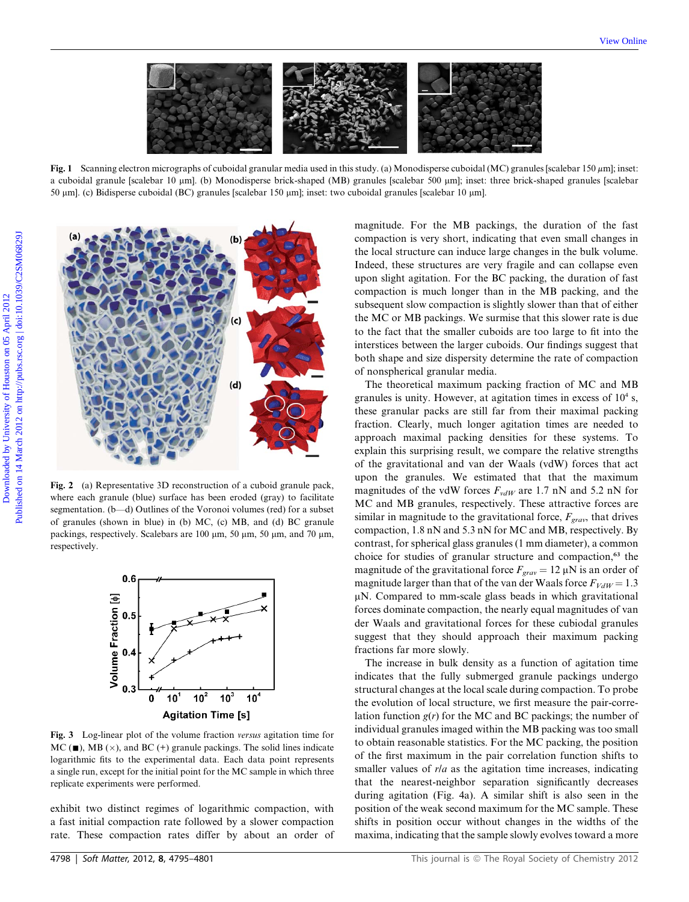

Fig. 1 Scanning electron micrographs of cuboidal granular media used in this study. (a) Monodisperse cuboidal (MC) granules [scalebar 150  $\mu$ m]; inset: a cuboidal granule [scalebar 10 µm]. (b) Monodisperse brick-shaped (MB) granules [scalebar 500 µm]; inset: three brick-shaped granules [scalebar 50 mm]. (c) Bidisperse cuboidal (BC) granules [scalebar 150 mm]; inset: two cuboidal granules [scalebar 10 mm].



Fig. 2 (a) Representative 3D reconstruction of a cuboid granule pack, where each granule (blue) surface has been eroded (gray) to facilitate segmentation. (b—d) Outlines of the Voronoi volumes (red) for a subset of granules (shown in blue) in (b) MC, (c) MB, and (d) BC granule packings, respectively. Scalebars are 100  $\mu$ m, 50  $\mu$ m, 50  $\mu$ m, and 70  $\mu$ m, respectively.



Fig. 3 Log-linear plot of the volume fraction versus agitation time for  $MC$  ( $\blacksquare$ ), MB ( $\times$ ), and BC (+) granule packings. The solid lines indicate logarithmic fits to the experimental data. Each data point represents a single run, except for the initial point for the MC sample in which three replicate experiments were performed.

exhibit two distinct regimes of logarithmic compaction, with a fast initial compaction rate followed by a slower compaction rate. These compaction rates differ by about an order of

magnitude. For the MB packings, the duration of the fast compaction is very short, indicating that even small changes in the local structure can induce large changes in the bulk volume. Indeed, these structures are very fragile and can collapse even upon slight agitation. For the BC packing, the duration of fast compaction is much longer than in the MB packing, and the subsequent slow compaction is slightly slower than that of either the MC or MB packings. We surmise that this slower rate is due to the fact that the smaller cuboids are too large to fit into the interstices between the larger cuboids. Our findings suggest that both shape and size dispersity determine the rate of compaction of nonspherical granular media.

The theoretical maximum packing fraction of MC and MB granules is unity. However, at agitation times in excess of  $10<sup>4</sup>$  s, these granular packs are still far from their maximal packing fraction. Clearly, much longer agitation times are needed to approach maximal packing densities for these systems. To explain this surprising result, we compare the relative strengths of the gravitational and van der Waals (vdW) forces that act upon the granules. We estimated that that the maximum magnitudes of the vdW forces  $F_{vdW}$  are 1.7 nN and 5.2 nN for MC and MB granules, respectively. These attractive forces are similar in magnitude to the gravitational force,  $F_{grav}$ , that drives compaction, 1.8 nN and 5.3 nN for MC and MB, respectively. By contrast, for spherical glass granules (1 mm diameter), a common choice for studies of granular structure and compaction,<sup>63</sup> the magnitude of the gravitational force  $F_{grav} = 12 \mu N$  is an order of magnitude larger than that of the van der Waals force  $F_{VdW} = 1.3$  $\mu$ N. Compared to mm-scale glass beads in which gravitational forces dominate compaction, the nearly equal magnitudes of van der Waals and gravitational forces for these cubiodal granules suggest that they should approach their maximum packing fractions far more slowly.

The increase in bulk density as a function of agitation time indicates that the fully submerged granule packings undergo structural changes at the local scale during compaction. To probe the evolution of local structure, we first measure the pair-correlation function  $g(r)$  for the MC and BC packings; the number of individual granules imaged within the MB packing was too small to obtain reasonable statistics. For the MC packing, the position of the first maximum in the pair correlation function shifts to smaller values of r/a as the agitation time increases, indicating that the nearest-neighbor separation significantly decreases during agitation (Fig. 4a). A similar shift is also seen in the position of the weak second maximum for the MC sample. These shifts in position occur without changes in the widths of the maxima, indicating that the sample slowly evolves toward a more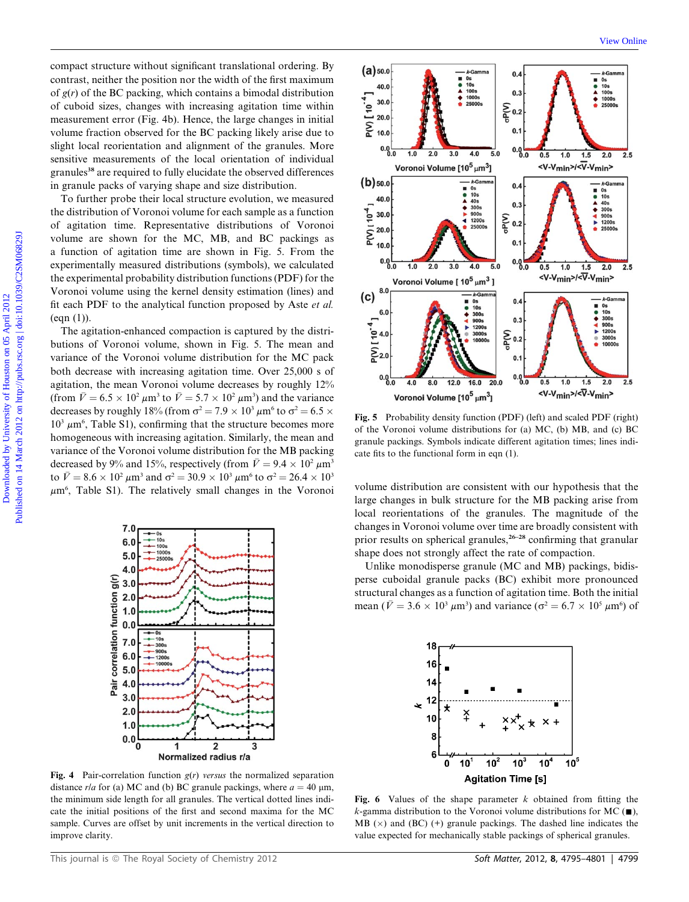compact structure without significant translational ordering. By contrast, neither the position nor the width of the first maximum of  $g(r)$  of the BC packing, which contains a bimodal distribution of cuboid sizes, changes with increasing agitation time within measurement error (Fig. 4b). Hence, the large changes in initial volume fraction observed for the BC packing likely arise due to slight local reorientation and alignment of the granules. More sensitive measurements of the local orientation of individual granules<sup>38</sup> are required to fully elucidate the observed differences in granule packs of varying shape and size distribution.

To further probe their local structure evolution, we measured the distribution of Voronoi volume for each sample as a function of agitation time. Representative distributions of Voronoi volume are shown for the MC, MB, and BC packings as a function of agitation time are shown in Fig. 5. From the experimentally measured distributions (symbols), we calculated the experimental probability distribution functions (PDF) for the Voronoi volume using the kernel density estimation (lines) and fit each PDF to the analytical function proposed by Aste et al.  $(eqn(1))$ .

The agitation-enhanced compaction is captured by the distributions of Voronoi volume, shown in Fig. 5. The mean and variance of the Voronoi volume distribution for the MC pack both decrease with increasing agitation time. Over 25,000 s of agitation, the mean Voronoi volume decreases by roughly 12% (from  $\bar{V} = 6.5 \times 10^2 \,\mu \text{m}^3$  to  $\bar{V} = 5.7 \times 10^2 \,\mu \text{m}^3$ ) and the variance decreases by roughly 18% (from  $\sigma^2 = 7.9 \times 10^3 \mu m^6$  to  $\sigma^2 = 6.5 \times$  $10^3 \mu m^6$ , Table S1), confirming that the structure becomes more homogeneous with increasing agitation. Similarly, the mean and variance of the Voronoi volume distribution for the MB packing decreased by 9% and 15%, respectively (from  $\bar{V} = 9.4 \times 10^2 \,\mu \text{m}^3$ to  $\bar{V} = 8.6 \times 10^2 \,\mu \text{m}^3$  and  $\sigma^2 = 30.9 \times 10^3 \,\mu \text{m}^6$  to  $\sigma^2 = 26.4 \times 10^3$ 



Fig. 4 Pair-correlation function  $g(r)$  versus the normalized separation distance r/a for (a) MC and (b) BC granule packings, where  $a = 40 \mu m$ , the minimum side length for all granules. The vertical dotted lines indicate the initial positions of the first and second maxima for the MC sample. Curves are offset by unit increments in the vertical direction to improve clarity.



Fig. 5 Probability density function (PDF) (left) and scaled PDF (right) of the Voronoi volume distributions for (a) MC, (b) MB, and (c) BC granule packings. Symbols indicate different agitation times; lines indicate fits to the functional form in eqn (1).

 $\mu$ m<sup>6</sup>, Table S1). The relatively small changes in the Voronoi volume distribution are consistent with our hypothesis that the large changes in bulk structure for the MB packing arise from local reorientations of the granules. The magnitude of the changes in Voronoi volume over time are broadly consistent with prior results on spherical granules, $26-28$  confirming that granular shape does not strongly affect the rate of compaction.

> Unlike monodisperse granule (MC and MB) packings, bidisperse cuboidal granule packs (BC) exhibit more pronounced structural changes as a function of agitation time. Both the initial mean ( $\bar{V} = 3.6 \times 10^3 \,\mu\text{m}^3$ ) and variance ( $\sigma^2 = 6.7 \times 10^5 \,\mu\text{m}^6$ ) of



Fig. 6 Values of the shape parameter  $k$  obtained from fitting the k-gamma distribution to the Voronoi volume distributions for MC  $(\blacksquare)$ , MB  $(x)$  and (BC)  $(+)$  granule packings. The dashed line indicates the value expected for mechanically stable packings of spherical granules.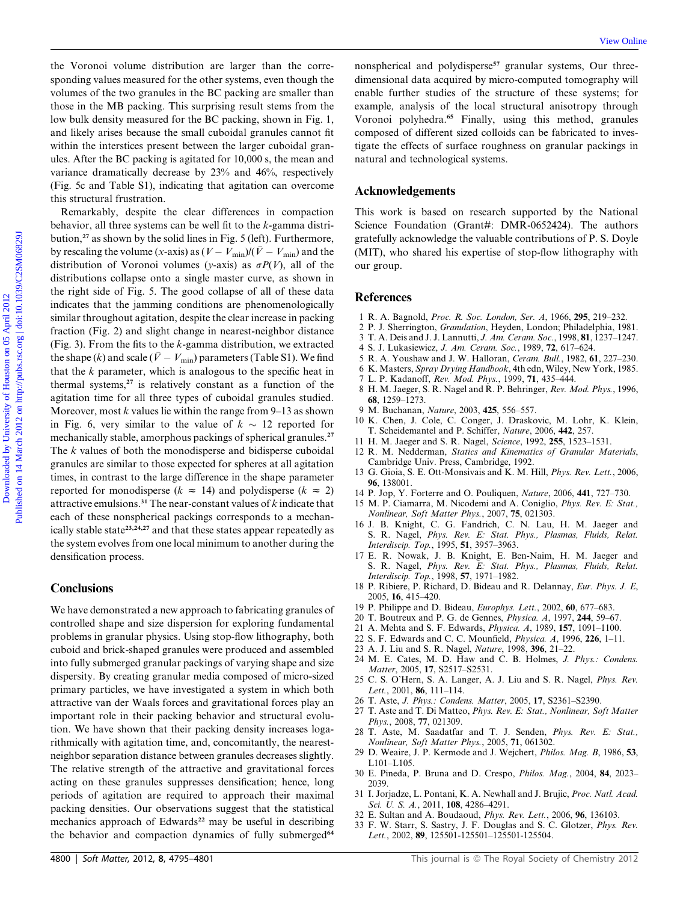the Voronoi volume distribution are larger than the corresponding values measured for the other systems, even though the volumes of the two granules in the BC packing are smaller than those in the MB packing. This surprising result stems from the low bulk density measured for the BC packing, shown in Fig. 1, and likely arises because the small cuboidal granules cannot fit within the interstices present between the larger cuboidal granules. After the BC packing is agitated for 10,000 s, the mean and variance dramatically decrease by 23% and 46%, respectively (Fig. 5c and Table S1), indicating that agitation can overcome this structural frustration.

Remarkably, despite the clear differences in compaction behavior, all three systems can be well fit to the k-gamma distribution, $27$  as shown by the solid lines in Fig. 5 (left). Furthermore, by rescaling the volume (x-axis) as  $(V - V_{min})/(\bar{V} - V_{min})$  and the distribution of Voronoi volumes (y-axis) as  $\sigma P(V)$ , all of the distributions collapse onto a single master curve, as shown in the right side of Fig. 5. The good collapse of all of these data indicates that the jamming conditions are phenomenologically similar throughout agitation, despite the clear increase in packing fraction (Fig. 2) and slight change in nearest-neighbor distance (Fig. 3). From the fits to the  $k$ -gamma distribution, we extracted the shape (k) and scale (  $\bar{V} - V_{\rm min}$ ) parameters (Table S1). We find that the  $k$  parameter, which is analogous to the specific heat in thermal systems, $27$  is relatively constant as a function of the agitation time for all three types of cuboidal granules studied. Moreover, most  $k$  values lie within the range from 9–13 as shown in Fig. 6, very similar to the value of  $k \sim 12$  reported for mechanically stable, amorphous packings of spherical granules.<sup>27</sup> The k values of both the monodisperse and bidisperse cuboidal granules are similar to those expected for spheres at all agitation times, in contrast to the large difference in the shape parameter reported for monodisperse ( $k \approx 14$ ) and polydisperse ( $k \approx 2$ ) attractive emulsions.<sup>31</sup> The near-constant values of  $k$  indicate that each of these nonspherical packings corresponds to a mechanically stable state<sup>23,24,27</sup> and that these states appear repeatedly as the system evolves from one local minimum to another during the densification process. Download columns is determined by the column are larger than the same. To consider a larger published by minimal consideration of the same of the low product published and anti-maximum signature of the box in the March 20

## **Conclusions**

We have demonstrated a new approach to fabricating granules of controlled shape and size dispersion for exploring fundamental problems in granular physics. Using stop-flow lithography, both cuboid and brick-shaped granules were produced and assembled into fully submerged granular packings of varying shape and size dispersity. By creating granular media composed of micro-sized primary particles, we have investigated a system in which both attractive van der Waals forces and gravitational forces play an important role in their packing behavior and structural evolution. We have shown that their packing density increases logarithmically with agitation time, and, concomitantly, the nearestneighbor separation distance between granules decreases slightly. The relative strength of the attractive and gravitational forces acting on these granules suppresses densification; hence, long periods of agitation are required to approach their maximal packing densities. Our observations suggest that the statistical mechanics approach of Edwards<sup>22</sup> may be useful in describing the behavior and compaction dynamics of fully submerged<sup>64</sup>

nonspherical and polydisperse<sup>57</sup> granular systems, Our threedimensional data acquired by micro-computed tomography will enable further studies of the structure of these systems; for example, analysis of the local structural anisotropy through Voronoi polyhedra.<sup>65</sup> Finally, using this method, granules composed of different sized colloids can be fabricated to investigate the effects of surface roughness on granular packings in natural and technological systems.

## Acknowledgements

This work is based on research supported by the National Science Foundation (Grant#: DMR-0652424). The authors gratefully acknowledge the valuable contributions of P. S. Doyle (MIT), who shared his expertise of stop-flow lithography with our group.

## **References**

- 1 R. A. Bagnold, Proc. R. Soc. London, Ser. A, 1966, 295, 219–232.
- 2 P. J. Sherrington, Granulation, Heyden, London; Philadelphia, 1981.
- 3 T. A. Deis and J. J. Lannutti, J. Am. Ceram. Soc., 1998, 81, 1237–1247.
- 4 S. J. Lukasiewicz, J. Am. Ceram. Soc., 1989, 72, 617–624.
- 5 R. A. Youshaw and J. W. Halloran, Ceram. Bull., 1982, 61, 227–230.
- 6 K. Masters, Spray Drying Handbook, 4th edn, Wiley, New York, 1985.
- 7 L. P. Kadanoff, Rev. Mod. Phys., 1999, 71, 435–444.
- 8 H. M. Jaeger, S. R. Nagel and R. P. Behringer, Rev. Mod. Phys., 1996, 68, 1259–1273.
- 9 M. Buchanan, Nature, 2003, 425, 556–557.
- 10 K. Chen, J. Cole, C. Conger, J. Draskovic, M. Lohr, K. Klein, T. Scheidemantel and P. Schiffer, Nature, 2006, 442, 257.
- 11 H. M. Jaeger and S. R. Nagel, Science, 1992, 255, 1523–1531.
- 12 R. M. Nedderman, Statics and Kinematics of Granular Materials, Cambridge Univ. Press, Cambridge, 1992.
- 13 G. Gioia, S. E. Ott-Monsivais and K. M. Hill, Phys. Rev. Lett., 2006, 96, 138001.
- 14 P. Jop, Y. Forterre and O. Pouliquen, Nature, 2006, 441, 727–730.
- 15 M. P. Ciamarra, M. Nicodemi and A. Coniglio, Phys. Rev. E: Stat., Nonlinear, Soft Matter Phys., 2007, 75, 021303.
- 16 J. B. Knight, C. G. Fandrich, C. N. Lau, H. M. Jaeger and S. R. Nagel, Phys. Rev. E: Stat. Phys., Plasmas, Fluids, Relat. Interdiscip. Top., 1995, 51, 3957–3963.
- 17 E. R. Nowak, J. B. Knight, E. Ben-Naim, H. M. Jaeger and S. R. Nagel, Phys. Rev. E: Stat. Phys., Plasmas, Fluids, Relat. Interdiscip. Top., 1998, 57, 1971–1982.
- 18 P. Ribiere, P. Richard, D. Bideau and R. Delannay, Eur. Phys. J. E, 2005, 16, 415–420.
- 19 P. Philippe and D. Bideau, Europhys. Lett., 2002, 60, 677–683.
- 20 T. Boutreux and P. G. de Gennes, Physica. A, 1997, 244, 59–67.
- 21 A. Mehta and S. F. Edwards, Physica. A, 1989, 157, 1091–1100.
- 22 S. F. Edwards and C. C. Mounfield, Physica. A, 1996, 226, 1–11.
- 23 A. J. Liu and S. R. Nagel, Nature, 1998, 396, 21–22.
- 24 M. E. Cates, M. D. Haw and C. B. Holmes, J. Phys.: Condens. Matter, 2005, 17, S2517–S2531.
- 25 C. S. O'Hern, S. A. Langer, A. J. Liu and S. R. Nagel, Phys. Rev. Lett., 2001, 86, 111–114.
- 26 T. Aste, J. Phys.: Condens. Matter, 2005, 17, S2361–S2390.
- 27 T. Aste and T. Di Matteo, Phys. Rev. E: Stat., Nonlinear, Soft Matter Phys., 2008, 77, 021309.
- 28 T. Aste, M. Saadatfar and T. J. Senden, Phys. Rev. E: Stat., Nonlinear, Soft Matter Phys., 2005, 71, 061302.
- 29 D. Weaire, J. P. Kermode and J. Wejchert, Philos. Mag. B, 1986, 53, L101–L105.
- 30 E. Pineda, P. Bruna and D. Crespo, Philos. Mag., 2004, 84, 2023– 2039.
- 31 I. Jorjadze, L. Pontani, K. A. Newhall and J. Brujic, Proc. Natl. Acad. Sci. U. S. A., 2011, 108, 4286-4291.
- 32 E. Sultan and A. Boudaoud, Phys. Rev. Lett., 2006, 96, 136103.
- 33 F. W. Starr, S. Sastry, J. F. Douglas and S. C. Glotzer, Phys. Rev. Lett., 2002, 89, 125501-125501–125501-125504.